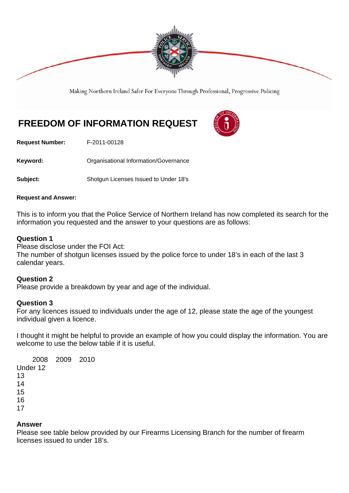

Making Northern Ireland Safer For Everyone Through Professional, Progressive Policing

# **FREEDOM OF INFORMATION REQUEST**

**Request Number:** F-2011-00128

Keyword: **Communistry Communists** Organisational Information/Governance

**Subject:** Shotgun Licenses Issued to Under 18's

#### **Request and Answer:**

This is to inform you that the Police Service of Northern Ireland has now completed its search for the information you requested and the answer to your questions are as follows:

### **Question 1**

Please disclose under the FOI Act:

The number of shotgun licenses issued by the police force to under 18's in each of the last 3 calendar years.

## **Question 2**

Please provide a breakdown by year and age of the individual.

## **Question 3**

For any licences issued to individuals under the age of 12, please state the age of the youngest individual given a licence.

I thought it might be helpful to provide an example of how you could display the information. You are welcome to use the below table if it is useful.

 2008 2009 2010 Under 12 13 14 15 16 17

### **Answer**

Please see table below provided by our Firearms Licensing Branch for the number of firearm licenses issued to under 18's.